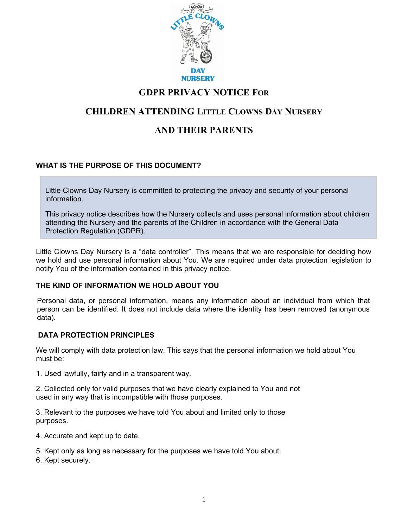

## **GDPR PRIVACY NOTICE FOR**

# **CHILDREN ATTENDING LITTLE CLOWNS DAY NURSERY**

# **AND THEIR PARENTS**

## **WHAT IS THE PURPOSE OF THIS DOCUMENT?**

Little Clowns Day Nursery is committed to protecting the privacy and security of your personal information.

This privacy notice describes how the Nursery collects and uses personal information about children attending the Nursery and the parents of the Children in accordance with the General Data Protection Regulation (GDPR).

Little Clowns Day Nursery is a "data controller". This means that we are responsible for deciding how we hold and use personal information about You. We are required under data protection legislation to notify You of the information contained in this privacy notice.

#### **THE KIND OF INFORMATION WE HOLD ABOUT YOU**

Personal data, or personal information, means any information about an individual from which that person can be identified. It does not include data where the identity has been removed (anonymous data).

## **DATA PROTECTION PRINCIPLES**

We will comply with data protection law. This says that the personal information we hold about You must be:

1. Used lawfully, fairly and in a transparent way.

2. Collected only for valid purposes that we have clearly explained to You and not used in any way that is incompatible with those purposes.

3. Relevant to the purposes we have told You about and limited only to those purposes.

4. Accurate and kept up to date.

- 5. Kept only as long as necessary for the purposes we have told You about.
- 6. Kept securely.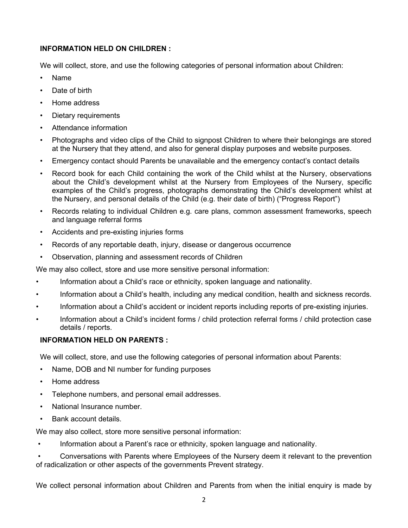### **INFORMATION HELD ON CHILDREN :**

We will collect, store, and use the following categories of personal information about Children:

- Name
- Date of birth
- Home address
- Dietary requirements
- Attendance information
- Photographs and video clips of the Child to signpost Children to where their belongings are stored at the Nursery that they attend, and also for general display purposes and website purposes.
- Emergency contact should Parents be unavailable and the emergency contact's contact details
- Record book for each Child containing the work of the Child whilst at the Nursery, observations about the Child's development whilst at the Nursery from Employees of the Nursery, specific examples of the Child's progress, photographs demonstrating the Child's development whilst at the Nursery, and personal details of the Child (e.g. their date of birth) ("Progress Report")
- Records relating to individual Children e.g. care plans, common assessment frameworks, speech and language referral forms
- Accidents and pre-existing injuries forms
- Records of any reportable death, injury, disease or dangerous occurrence
- Observation, planning and assessment records of Children

We may also collect, store and use more sensitive personal information:

- Information about a Child's race or ethnicity, spoken language and nationality.
- Information about a Child's health, including any medical condition, health and sickness records.
- Information about a Child's accident or incident reports including reports of pre-existing injuries.
- Information about a Child's incident forms / child protection referral forms / child protection case details / reports.

## **INFORMATION HELD ON PARENTS :**

We will collect, store, and use the following categories of personal information about Parents:

- Name, DOB and NI number for funding purposes
- Home address
- Telephone numbers, and personal email addresses.
- National Insurance number.
- Bank account details.

We may also collect, store more sensitive personal information:

• Information about a Parent's race or ethnicity, spoken language and nationality.

• Conversations with Parents where Employees of the Nursery deem it relevant to the prevention of radicalization or other aspects of the governments Prevent strategy.

We collect personal information about Children and Parents from when the initial enquiry is made by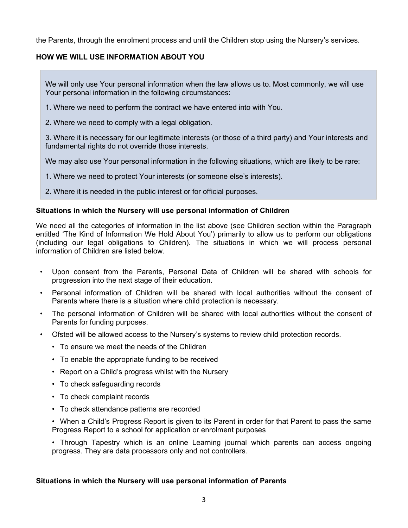the Parents, through the enrolment process and until the Children stop using the Nursery's services.

### **HOW WE WILL USE INFORMATION ABOUT YOU**

We will only use Your personal information when the law allows us to. Most commonly, we will use Your personal information in the following circumstances:

- 1. Where we need to perform the contract we have entered into with You.
- 2. Where we need to comply with a legal obligation.

3. Where it is necessary for our legitimate interests (or those of a third party) and Your interests and fundamental rights do not override those interests.

We may also use Your personal information in the following situations, which are likely to be rare:

1. Where we need to protect Your interests (or someone else's interests).

2. Where it is needed in the public interest or for official purposes.

#### **Situations in which the Nursery will use personal information of Children**

We need all the categories of information in the list above (see Children section within the Paragraph entitled 'The Kind of Information We Hold About You') primarily to allow us to perform our obligations (including our legal obligations to Children). The situations in which we will process personal information of Children are listed below.

- Upon consent from the Parents, Personal Data of Children will be shared with schools for progression into the next stage of their education.
- Personal information of Children will be shared with local authorities without the consent of Parents where there is a situation where child protection is necessary.
- The personal information of Children will be shared with local authorities without the consent of Parents for funding purposes.
- Ofsted will be allowed access to the Nursery's systems to review child protection records.
	- To ensure we meet the needs of the Children
	- To enable the appropriate funding to be received
	- Report on a Child's progress whilst with the Nursery
	- To check safeguarding records
	- To check complaint records
	- To check attendance patterns are recorded

• When a Child's Progress Report is given to its Parent in order for that Parent to pass the same Progress Report to a school for application or enrolment purposes

• Through Tapestry which is an online Learning journal which parents can access ongoing progress. They are data processors only and not controllers.

#### **Situations in which the Nursery will use personal information of Parents**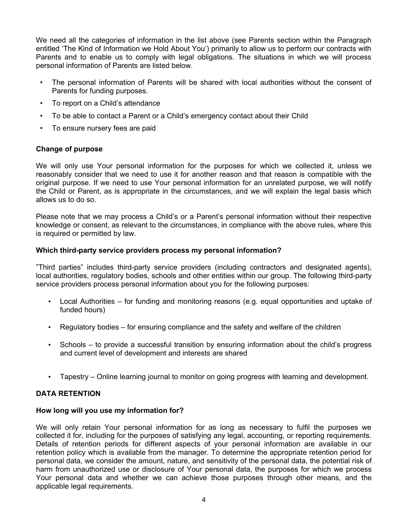We need all the categories of information in the list above (see Parents section within the Paragraph entitled 'The Kind of Information we Hold About You') primarily to allow us to perform our contracts with Parents and to enable us to comply with legal obligations. The situations in which we will process personal information of Parents are listed below.

- The personal information of Parents will be shared with local authorities without the consent of Parents for funding purposes.
- To report on a Child's attendance
- To be able to contact a Parent or a Child's emergency contact about their Child
- To ensure nursery fees are paid

### **Change of purpose**

We will only use Your personal information for the purposes for which we collected it, unless we reasonably consider that we need to use it for another reason and that reason is compatible with the original purpose. If we need to use Your personal information for an unrelated purpose, we will notify the Child or Parent, as is appropriate in the circumstances, and we will explain the legal basis which allows us to do so.

Please note that we may process a Child's or a Parent's personal information without their respective knowledge or consent, as relevant to the circumstances, in compliance with the above rules, where this is required or permitted by law.

#### **Which third-party service providers process my personal information?**

"Third parties" includes third-party service providers (including contractors and designated agents), local authorities, regulatory bodies, schools and other entities within our group. The following third-party service providers process personal information about you for the following purposes:

- Local Authorities for funding and monitoring reasons (e.g. equal opportunities and uptake of funded hours)
- Regulatory bodies for ensuring compliance and the safety and welfare of the children
- Schools to provide a successful transition by ensuring information about the child's progress and current level of development and interests are shared
- Tapestry Online learning journal to monitor on going progress with learning and development.

## **DATA RETENTION**

#### **How long will you use my information for?**

We will only retain Your personal information for as long as necessary to fulfil the purposes we collected it for, including for the purposes of satisfying any legal, accounting, or reporting requirements. Details of retention periods for different aspects of your personal information are available in our retention policy which is available from the manager. To determine the appropriate retention period for personal data, we consider the amount, nature, and sensitivity of the personal data, the potential risk of harm from unauthorized use or disclosure of Your personal data, the purposes for which we process Your personal data and whether we can achieve those purposes through other means, and the applicable legal requirements.